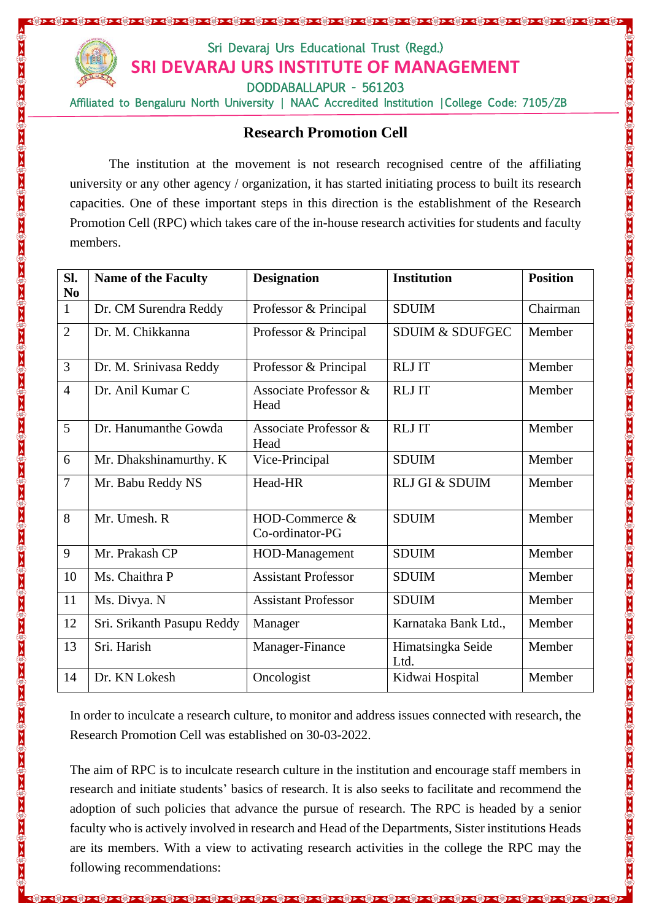

## Sri Devaraj Urs Educational Trust (Regd.) **SRI DEVARAJ URS INSTITUTE OF MANAGEMENT** DODDABALLAPUR - 561203

<u>। ସ୍କୃତ ସ୍କୃତ ସ୍କୃତ ପୂର୍ବର କୁରା ପୁରୁଷ ପୁରୁଷ ପୁରୁଷ ପୁରୁଷ ପୁରୁଷ ପୁରୁଷ କୁରା କୁରା କୁରା ପୁରୁଷ ପୁରୁଷ ପୁରୁଷ କୁରା ପୁରୁଷ</u>

Affiliated to Bengaluru North University | NAAC Accredited Institution | College Code: 7105/ZB

## **Research Promotion Cell**

The institution at the movement is not research recognised centre of the affiliating university or any other agency / organization, it has started initiating process to built its research capacities. One of these important steps in this direction is the establishment of the Research Promotion Cell (RPC) which takes care of the in-house research activities for students and faculty members.

| SI.<br>N <sub>0</sub> | <b>Name of the Faculty</b> | <b>Designation</b>                | <b>Institution</b>         | <b>Position</b> |
|-----------------------|----------------------------|-----------------------------------|----------------------------|-----------------|
| $\mathbf{1}$          | Dr. CM Surendra Reddy      | Professor & Principal             | <b>SDUIM</b>               | Chairman        |
| $\overline{2}$        | Dr. M. Chikkanna           | Professor & Principal             | <b>SDUIM &amp; SDUFGEC</b> | Member          |
| 3                     | Dr. M. Srinivasa Reddy     | Professor & Principal             | <b>RLJIT</b>               | Member          |
| $\overline{4}$        | Dr. Anil Kumar C           | Associate Professor &<br>Head     | <b>RLJ IT</b>              | Member          |
| 5                     | Dr. Hanumanthe Gowda       | Associate Professor &<br>Head     | <b>RLJ IT</b>              | Member          |
| 6                     | Mr. Dhakshinamurthy. K     | Vice-Principal                    | <b>SDUIM</b>               | Member          |
| $\overline{7}$        | Mr. Babu Reddy NS          | Head-HR                           | RLJ GI & SDUIM             | Member          |
| 8                     | Mr. Umesh. R               | HOD-Commerce &<br>Co-ordinator-PG | <b>SDUIM</b>               | Member          |
| 9                     | Mr. Prakash CP             | HOD-Management                    | <b>SDUIM</b>               | Member          |
| 10                    | Ms. Chaithra P             | <b>Assistant Professor</b>        | <b>SDUIM</b>               | Member          |
| 11                    | Ms. Divya. N               | <b>Assistant Professor</b>        | <b>SDUIM</b>               | Member          |
| 12                    | Sri. Srikanth Pasupu Reddy | Manager                           | Karnataka Bank Ltd.,       | Member          |
| 13                    | Sri. Harish                | Manager-Finance                   | Himatsingka Seide<br>Ltd.  | Member          |
| 14                    | Dr. KN Lokesh              | Oncologist                        | Kidwai Hospital            | Member          |

In order to inculcate a research culture, to monitor and address issues connected with research, the Research Promotion Cell was established on 30-03-2022.

The aim of RPC is to inculcate research culture in the institution and encourage staff members in research and initiate students' basics of research. It is also seeks to facilitate and recommend the adoption of such policies that advance the pursue of research. The RPC is headed by a senior faculty who is actively involved in research and Head of the Departments, Sister institutions Heads are its members. With a view to activating research activities in the college the RPC may the following recommendations: